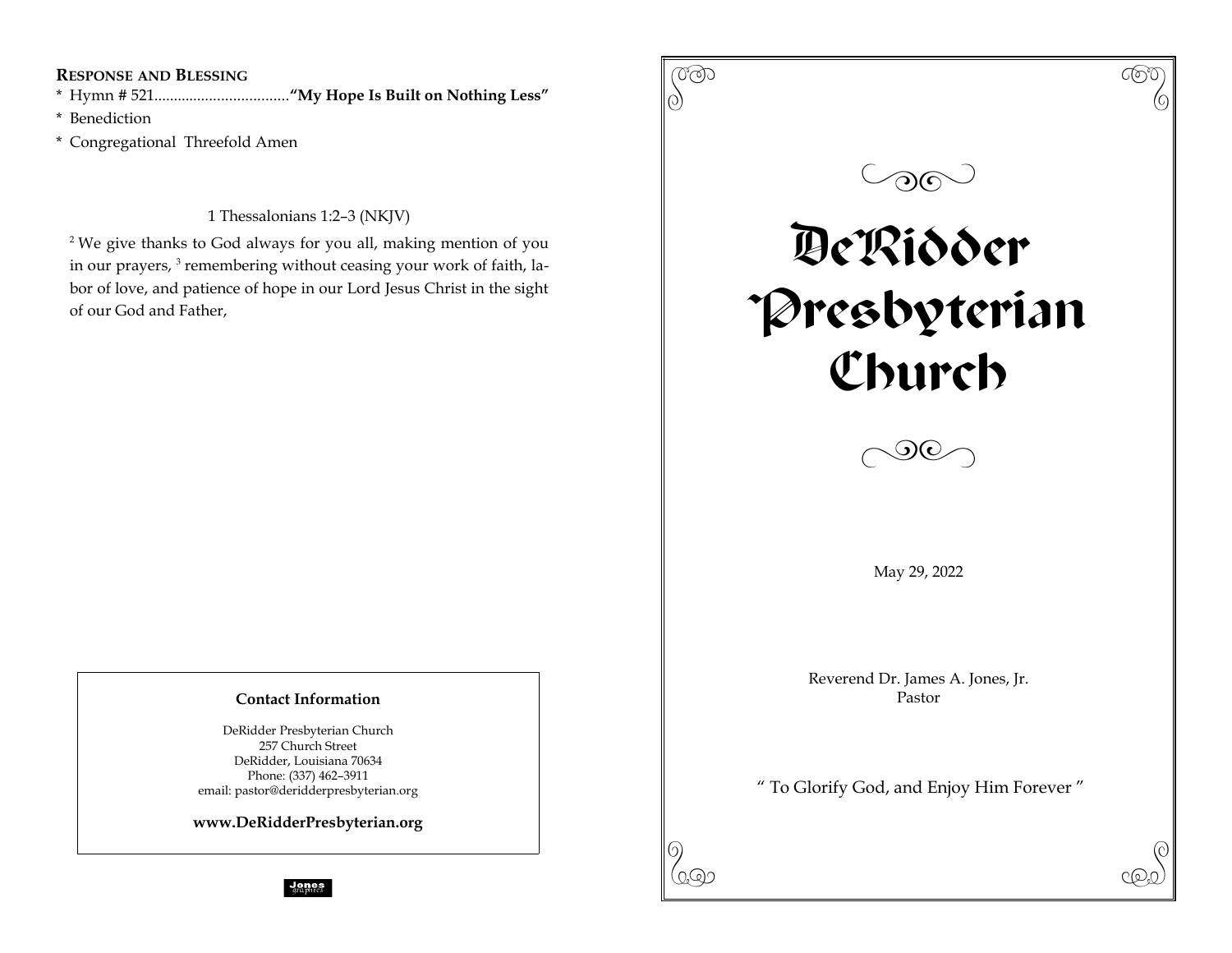## **RESPONSE AND BLESSING**

\* Hymn # 521..................................**"My Hope Is Built on Nothing Less"**

\* Benediction

\* Congregational Threefold Amen

1 Thessalonians 1:2–3 (NKJV)

<sup>2</sup> We give thanks to God always for you all, making mention of you in our prayers, <sup>3</sup> remembering without ceasing your work of faith, labor of love, and patience of hope in our Lord Jesus Christ in the sight of our God and Father,

## **Contact Information**

DeRidder Presbyterian Church 257 Church Street DeRidder, Louisiana 70634 Phone: (337) 462–3911 email: pastor@deridderpresbyterian.org

**www.DeRidderPresbyterian.org**

 $\frac{1}{2}$  and  $\frac{1}{2}$  and  $\frac{1}{2}$  are prices

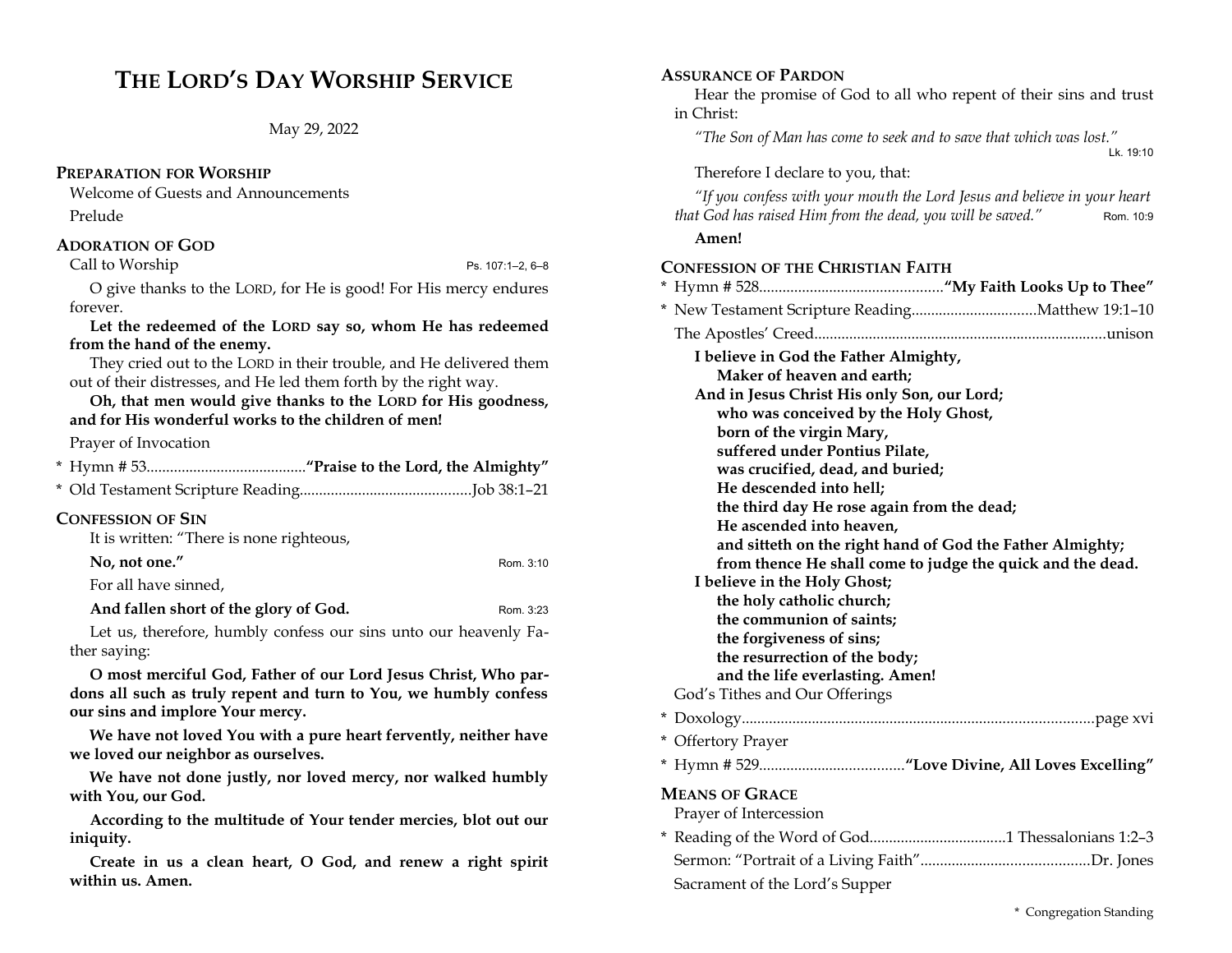# **THE LORD'S DAY WORSHIP SERVICE**

May 29, 2022

### **PREPARATION FOR WORSHIP**

Welcome of Guests and Announcements

Prelude

### **ADORATION OF GOD**

### Call to Worship  $\blacksquare$  Ps. 107:1–2, 6–8

O give thanks to the LORD, for He is good! For His mercy endures forever.

**Let the redeemed of the LORD say so, whom He has redeemed from the hand of the enemy.**

They cried out to the LORD in their trouble, and He delivered them out of their distresses, and He led them forth by the right way.

**Oh, that men would give thanks to the LORD for His goodness, and for His wonderful works to the children of men!** 

### Prayer of Invocation

| <b>CONFESSION OF SIN</b><br>It is written: "There is none righteous, |           |
|----------------------------------------------------------------------|-----------|
| No, not one."                                                        | Rom. 3:10 |
| For all have sinned,                                                 |           |
| And fallen short of the glory of God.                                | Rom. 3:23 |

Let us, therefore, humbly confess our sins unto our heavenly Father saying:

**O most merciful God, Father of our Lord Jesus Christ, Who pardons all such as truly repent and turn to You, we humbly confess our sins and implore Your mercy.** 

**We have not loved You with a pure heart fervently, neither have we loved our neighbor as ourselves.** 

**We have not done justly, nor loved mercy, nor walked humbly with You, our God.**

**According to the multitude of Your tender mercies, blot out our iniquity.** 

**Create in us a clean heart, O God, and renew a right spirit within us. Amen.**

## **ASSURANCE OF PARDON**

Hear the promise of God to all who repent of their sins and trust in Christ:

*"The Son of Man has come to seek and to save that which was lost."* Lk. 19:10

### Therefore I declare to you, that:

*"If you confess with your mouth the Lord Jesus and believe in your heart that God has raised Him from the dead, you will be saved."* Rom. 10:9

### **Amen!**

### **CONFESSION OF THE CHRISTIAN FAITH**

| I believe in God the Father Almighty,                              |  |
|--------------------------------------------------------------------|--|
| Maker of heaven and earth:                                         |  |
| And in Jesus Christ His only Son, our Lord;                        |  |
| who was conceived by the Holy Ghost,                               |  |
| born of the virgin Mary,                                           |  |
| suffered under Pontius Pilate,<br>was crucified, dead, and buried; |  |
| He descended into hell;                                            |  |
| the third day He rose again from the dead;                         |  |
| He ascended into heaven,                                           |  |
| and sitteth on the right hand of God the Father Almighty;          |  |
| from thence He shall come to judge the quick and the dead.         |  |
| I believe in the Holy Ghost;                                       |  |
| the holy catholic church;                                          |  |
| the communion of saints;                                           |  |
| the forgiveness of sins;<br>the resurrection of the body;          |  |
| and the life everlasting. Amen!                                    |  |
| God's Tithes and Our Offerings                                     |  |
|                                                                    |  |
| * Offertory Prayer                                                 |  |
|                                                                    |  |
| <b>MEANS OF GRACE</b>                                              |  |
| Prayer of Intercession                                             |  |
|                                                                    |  |
|                                                                    |  |
| Sacrament of the Lord's Supper                                     |  |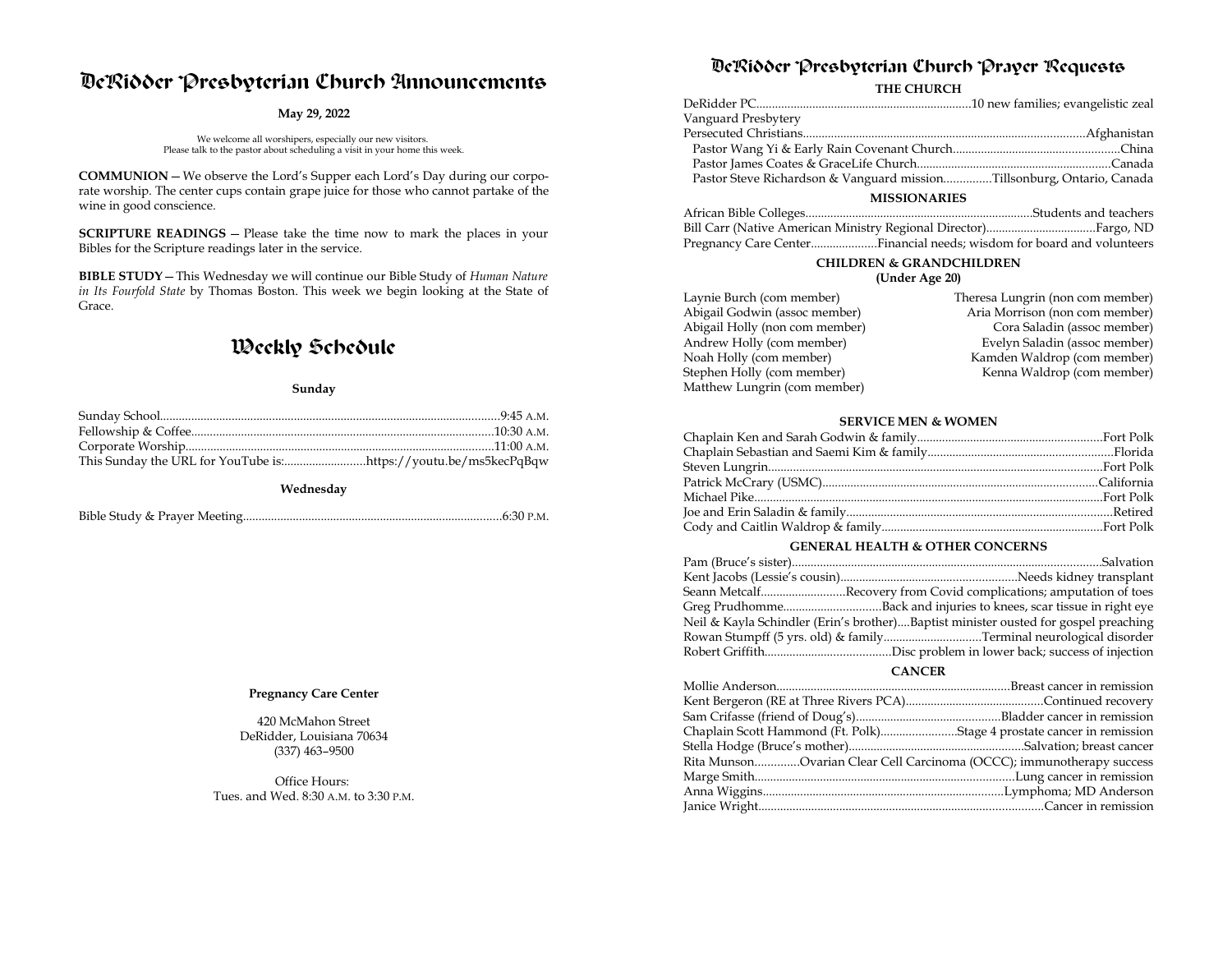# DeRidder Presbyterian Church Announcements

#### **May 29, 2022**

We welcome all worshipers, especially our new visitors. Please talk to the pastor about scheduling a visit in your home this week.

**COMMUNION**—We observe the Lord's Supper each Lord's Day during our corporate worship. The center cups contain grape juice for those who cannot partake of the wine in good conscience.

**SCRIPTURE READINGS** — Please take the time now to mark the places in your Bibles for the Scripture readings later in the service.

**BIBLE STUDY**—This Wednesday we will continue our Bible Study of *Human Nature in Its Fourfold State* by Thomas Boston. This week we begin looking at the State of Grace.

## Weekly Schedule

#### **Sunday**

**Wednesday**

Bible Study & Prayer Meeting...................................................................................6:30 P.M.

#### **Pregnancy Care Center**

420 McMahon Street DeRidder, Louisiana 70634 (337) 463–9500

Office Hours: Tues. and Wed. 8:30 A.M. to 3:30 P.M.

## DeRidder Presbyterian Church Prayer Requests

**THE CHURCH**

| Vanguard Presbytery                                                    |  |  |
|------------------------------------------------------------------------|--|--|
|                                                                        |  |  |
|                                                                        |  |  |
|                                                                        |  |  |
| Pastor Steve Richardson & Vanguard missionTillsonburg, Ontario, Canada |  |  |
| <b>MISSIONARIES</b>                                                    |  |  |

| Pregnancy Care CenterFinancial needs; wisdom for board and volunteers |  |
|-----------------------------------------------------------------------|--|

## **CHILDREN & GRANDCHILDREN**

### **(Under Age 20)**

| Theresa Lungrin (non com member) |
|----------------------------------|
| Aria Morrison (non com member)   |
| Cora Saladin (assoc member)      |
| Evelyn Saladin (assoc member)    |
| Kamden Waldrop (com member)      |
| Kenna Waldrop (com member)       |
|                                  |
|                                  |

#### **SERVICE MEN & WOMEN**

#### **GENERAL HEALTH & OTHER CONCERNS**

| Seann MetcalfRecovery from Covid complications; amputation of toes                  |  |
|-------------------------------------------------------------------------------------|--|
| Greg PrudhommeBack and injuries to knees, scar tissue in right eye                  |  |
| Neil & Kayla Schindler (Erin's brother)Baptist minister ousted for gospel preaching |  |
| Rowan Stumpff (5 yrs. old) & familyTerminal neurological disorder                   |  |
|                                                                                     |  |

#### **CANCER**

| Chaplain Scott Hammond (Ft. Polk)Stage 4 prostate cancer in remission |  |
|-----------------------------------------------------------------------|--|
|                                                                       |  |
| Rita MunsonOvarian Clear Cell Carcinoma (OCCC); immunotherapy success |  |
|                                                                       |  |
|                                                                       |  |
|                                                                       |  |